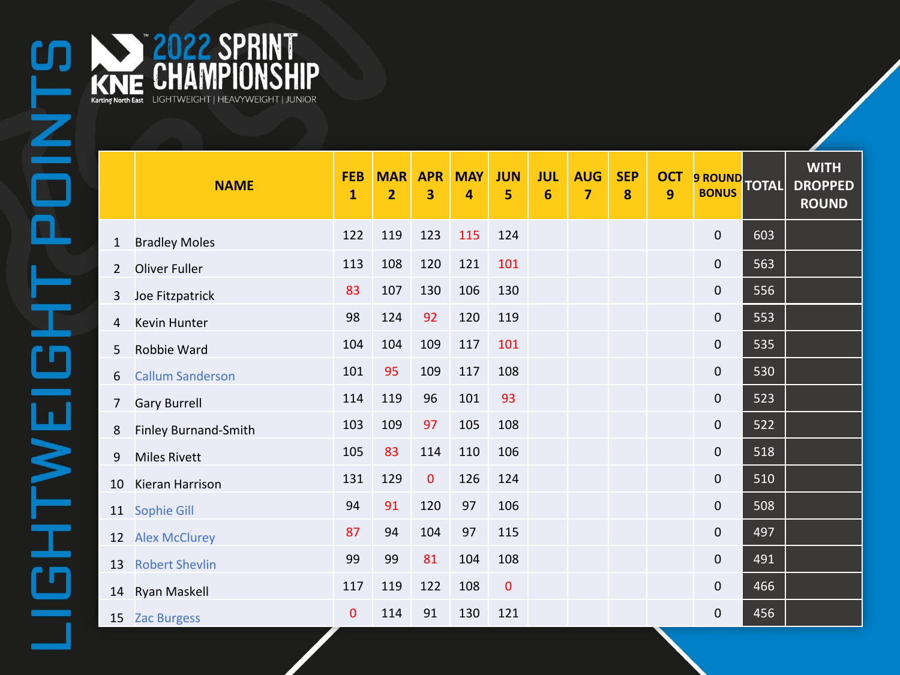

**Karting North East** LIGHTWEIGHT | HEAVYWEIGHT | JUNIOR

2022 SPRINT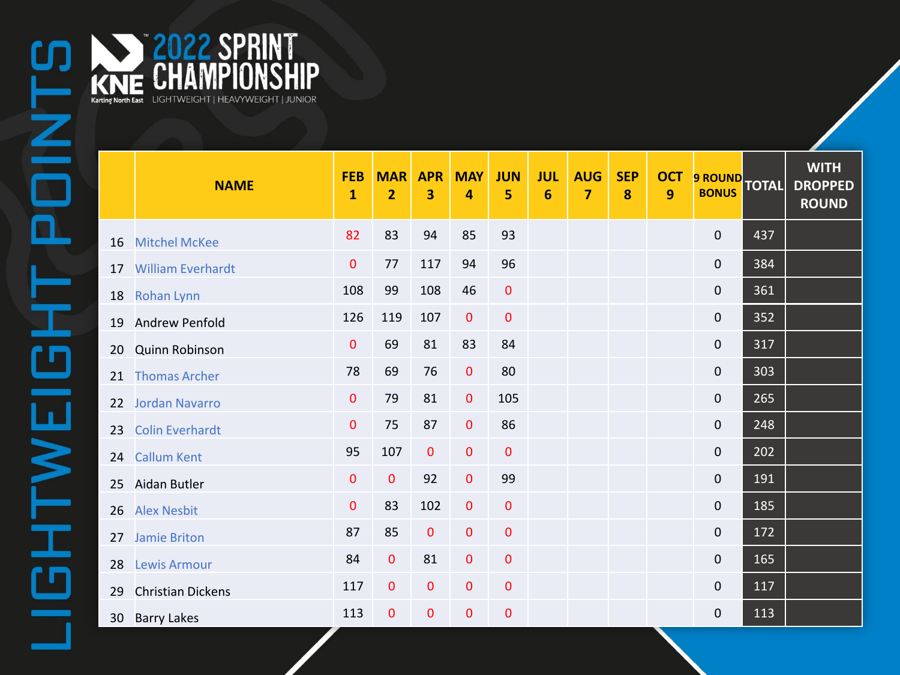2022 SPRINT

**Karting North East** LIGHTWEIGHT | HEAVYWEIGHT | JUNIOR

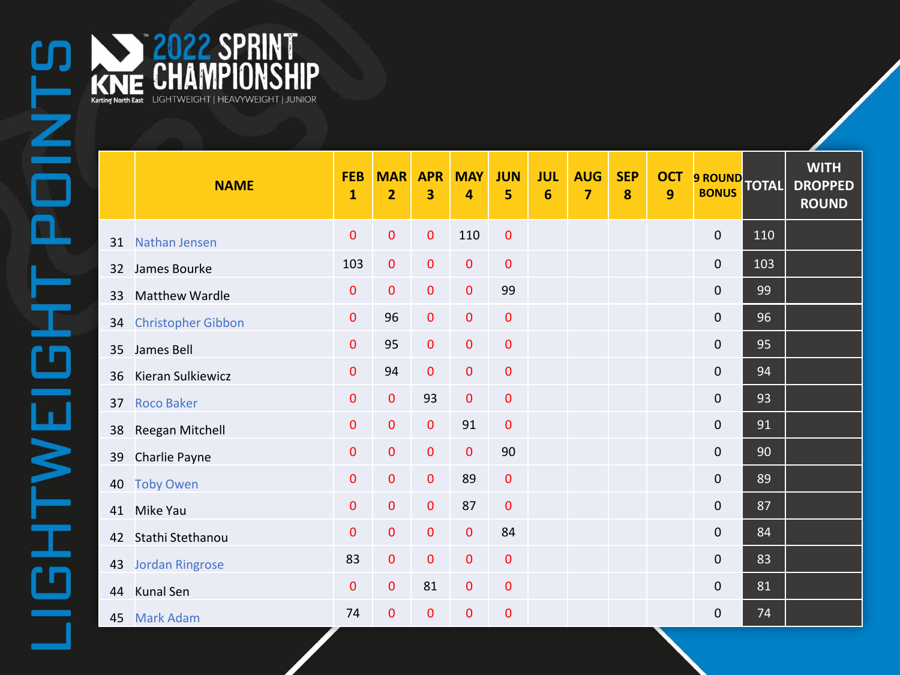|    | <b>NAME</b>               | <b>FEB</b><br>$\mathbf{1}$ | <b>MAR</b><br>$\overline{2}$ | <b>APR</b><br>3 | <b>MAY</b><br>4 | <b>JUN</b><br>5 | <b>JUL</b><br>$6\phantom{1}6$ | <b>AUG</b><br>$\overline{7}$ | <b>SEP</b><br>8 | <b>OCT</b><br>9 | 9 ROUND TOTAL       |     | <b>WITH</b><br><b>DROPPED</b><br><b>ROUND</b> |
|----|---------------------------|----------------------------|------------------------------|-----------------|-----------------|-----------------|-------------------------------|------------------------------|-----------------|-----------------|---------------------|-----|-----------------------------------------------|
| 31 | Nathan Jensen             | 0                          | 0                            | $\mathbf{0}$    | 110             | $\pmb{0}$       |                               |                              |                 |                 | $\mathbf 0$         | 110 |                                               |
| 32 | James Bourke              | 103                        | $\mathbf 0$                  | $\mathbf 0$     | $\mathbf{0}$    | $\pmb{0}$       |                               |                              |                 |                 | $\mathbf 0$         | 103 |                                               |
| 33 | <b>Matthew Wardle</b>     | 0                          | 0                            | $\mathbf 0$     | $\mathbf 0$     | 99              |                               |                              |                 |                 | $\mathbf 0$         | 99  |                                               |
| 34 | <b>Christopher Gibbon</b> | $\mathbf 0$                | 96                           | $\mathbf{0}$    | $\mathbf{0}$    | $\mathbf 0$     |                               |                              |                 |                 | $\mathsf{O}\xspace$ | 96  |                                               |
| 35 | James Bell                | 0                          | 95                           | $\mathbf 0$     | $\mathbf{0}$    | $\mathbf 0$     |                               |                              |                 |                 | $\pmb{0}$           | 95  |                                               |
| 36 | Kieran Sulkiewicz         | $\mathbf 0$                | 94                           | $\mathbf{0}$    | $\mathbf{0}$    | $\mathbf 0$     |                               |                              |                 |                 | $\mathbf 0$         | 94  |                                               |
| 37 | <b>Roco Baker</b>         | $\pmb{0}$                  | $\pmb{0}$                    | 93              | $\mathbf{0}$    | $\pmb{0}$       |                               |                              |                 |                 | $\mathsf{O}\xspace$ | 93  |                                               |
| 38 | Reegan Mitchell           | $\mathbf 0$                | $\mathbf 0$                  | $\mathbf 0$     | 91              | $\pmb{0}$       |                               |                              |                 |                 | $\pmb{0}$           | 91  |                                               |
| 39 | Charlie Payne             | $\mathbf 0$                | $\mathbf 0$                  | $\mathbf 0$     | $\mathbf{0}$    | 90              |                               |                              |                 |                 | $\mathsf{O}\xspace$ | 90  |                                               |
| 40 | <b>Toby Owen</b>          | 0                          | 0                            | $\mathbf{0}$    | 89              | $\mathbf 0$     |                               |                              |                 |                 | $\mathbf 0$         | 89  |                                               |
| 41 | Mike Yau                  | $\pmb{0}$                  | $\pmb{0}$                    | $\mathbf{O}$    | 87              | $\mathbf{0}$    |                               |                              |                 |                 | $\mathsf{O}\xspace$ | 87  |                                               |
| 42 | Stathi Stethanou          | $\mathbf 0$                | $\pmb{0}$                    | $\mathbf 0$     | $\mathbf{0}$    | 84              |                               |                              |                 |                 | $\mathsf{O}\xspace$ | 84  |                                               |
| 43 | <b>Jordan Ringrose</b>    | 83                         | $\mathbf 0$                  | $\mathbf{0}$    | $\mathbf 0$     | $\mathbf 0$     |                               |                              |                 |                 | $\mathbf 0$         | 83  |                                               |
| 44 | Kunal Sen                 | $\mathbf 0$                | $\pmb{0}$                    | 81              | $\pmb{0}$       | $\pmb{0}$       |                               |                              |                 |                 | $\mathsf{O}\xspace$ | 81  |                                               |
| 45 | <b>Mark Adam</b>          | 74                         | 0                            | $\overline{0}$  | $\mathbf 0$     | $\mathbf 0$     |                               |                              |                 |                 | 0                   | 74  |                                               |

ENSEIGNE KNE CHAMPIONSHIP